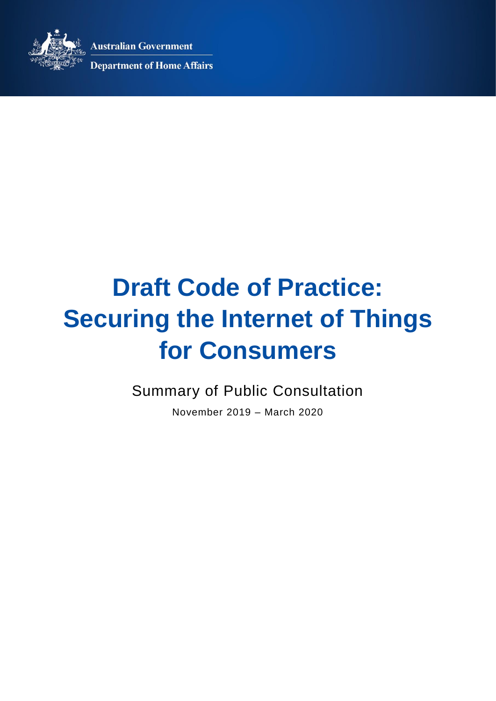**Australian Government** 



**Department of Home Affairs** 

# **Draft Code of Practice: Securing the Internet of Things for Consumers**

Summary of Public Consultation

November 2019 – March 2020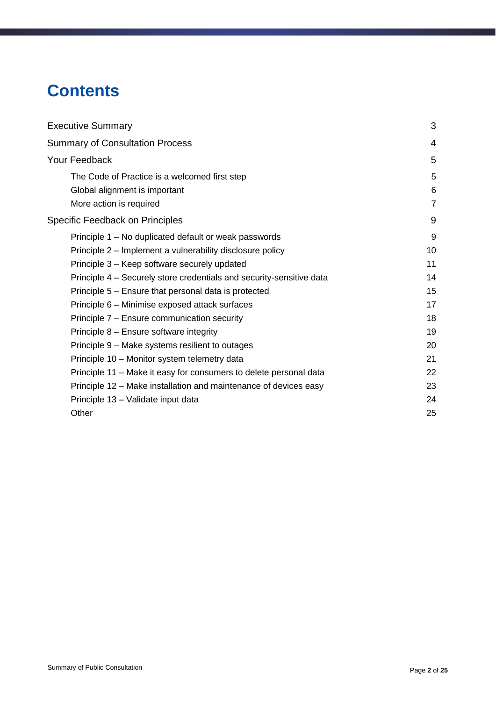# **Contents**

| <b>Executive Summary</b>                                             | 3              |
|----------------------------------------------------------------------|----------------|
| <b>Summary of Consultation Process</b>                               | 4              |
| Your Feedback                                                        | 5              |
| The Code of Practice is a welcomed first step                        | 5              |
| Global alignment is important                                        | 6              |
| More action is required                                              | $\overline{7}$ |
| <b>Specific Feedback on Principles</b>                               | 9              |
| Principle 1 – No duplicated default or weak passwords                | 9              |
| Principle 2 - Implement a vulnerability disclosure policy            | 10             |
| Principle 3 – Keep software securely updated                         | 11             |
| Principle 4 – Securely store credentials and security-sensitive data | 14             |
| Principle 5 – Ensure that personal data is protected                 | 15             |
| Principle 6 - Minimise exposed attack surfaces                       | 17             |
| Principle 7 - Ensure communication security                          | 18             |
| Principle 8 - Ensure software integrity                              | 19             |
| Principle 9 – Make systems resilient to outages                      | 20             |
| Principle 10 - Monitor system telemetry data                         | 21             |
| Principle 11 – Make it easy for consumers to delete personal data    | 22             |
| Principle 12 – Make installation and maintenance of devices easy     | 23             |
| Principle 13 - Validate input data                                   | 24             |
| Other                                                                | 25             |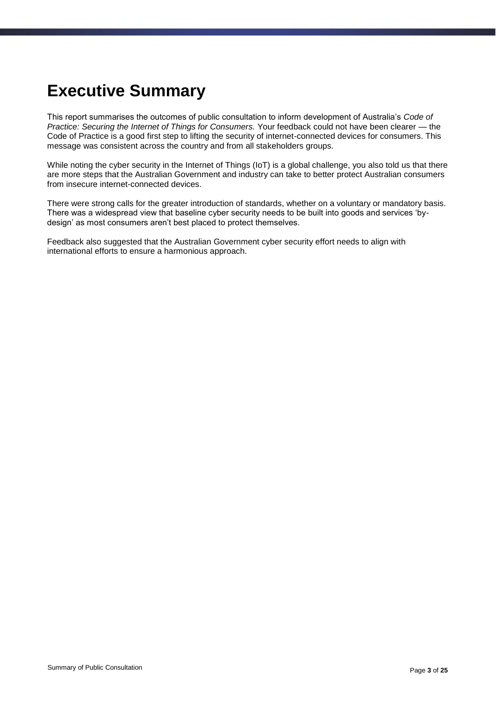# <span id="page-2-0"></span>**Executive Summary**

This report summarises the outcomes of public consultation to inform development of Australia's *Code of Practice: Securing the Internet of Things for Consumers.* Your feedback could not have been clearer — the Code of Practice is a good first step to lifting the security of internet-connected devices for consumers. This message was consistent across the country and from all stakeholders groups.

While noting the cyber security in the Internet of Things (IoT) is a global challenge, you also told us that there are more steps that the Australian Government and industry can take to better protect Australian consumers from insecure internet-connected devices.

There were strong calls for the greater introduction of standards, whether on a voluntary or mandatory basis. There was a widespread view that baseline cyber security needs to be built into goods and services 'bydesign' as most consumers aren't best placed to protect themselves.

Feedback also suggested that the Australian Government cyber security effort needs to align with international efforts to ensure a harmonious approach.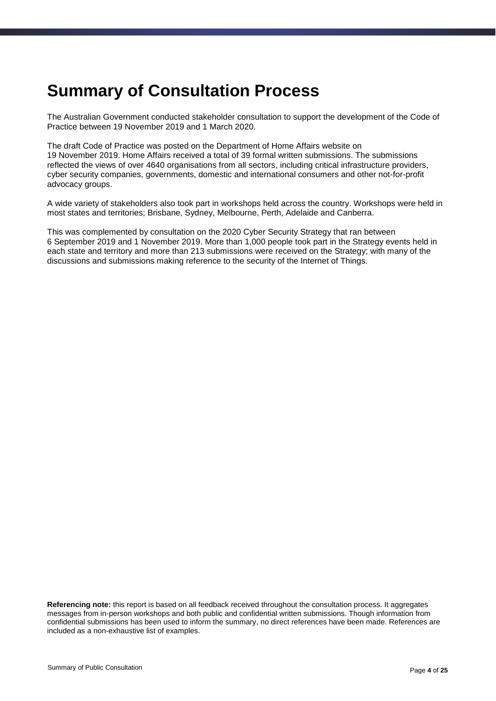### <span id="page-3-0"></span>**Summary of Consultation Process**

The Australian Government conducted stakeholder consultation to support the development of the Code of Practice between 19 November 2019 and 1 March 2020.

The draft Code of Practice was posted on the Department of Home Affairs website on 19 November 2019. Home Affairs received a total of 39 formal written submissions. The submissions reflected the views of over 4640 organisations from all sectors, including critical infrastructure providers, cyber security companies, governments, domestic and international consumers and other not-for-profit advocacy groups.

A wide variety of stakeholders also took part in workshops held across the country. Workshops were held in most states and territories; Brisbane, Sydney, Melbourne, Perth, Adelaide and Canberra.

This was complemented by consultation on the 2020 Cyber Security Strategy that ran between 6 September 2019 and 1 November 2019. More than 1,000 people took part in the Strategy events held in each state and territory and more than 213 submissions were received on the Strategy; with many of the discussions and submissions making reference to the security of the Internet of Things.

**Referencing note:** this report is based on all feedback received throughout the consultation process. It aggregates messages from in-person workshops and both public and confidential written submissions. Though information from confidential submissions has been used to inform the summary, no direct references have been made. References are included as a non-exhaustive list of examples.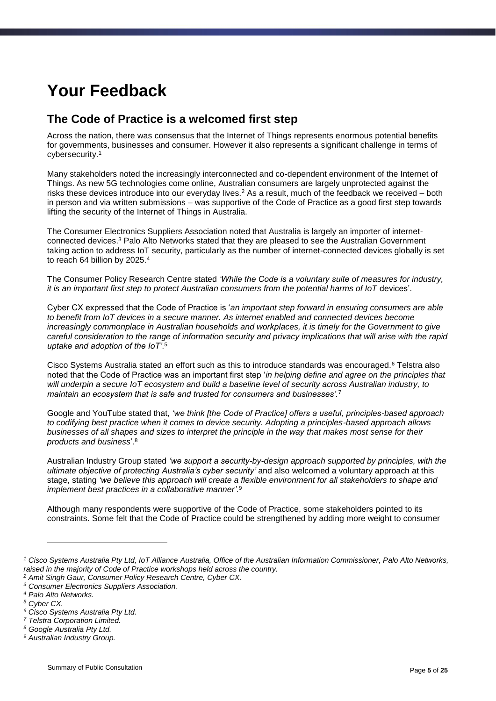# <span id="page-4-0"></span>**Your Feedback**

### <span id="page-4-1"></span>**The Code of Practice is a welcomed first step**

Across the nation, there was consensus that the Internet of Things represents enormous potential benefits for governments, businesses and consumer. However it also represents a significant challenge in terms of cybersecurity. 1

Many stakeholders noted the increasingly interconnected and co-dependent environment of the Internet of Things. As new 5G technologies come online, Australian consumers are largely unprotected against the risks these devices introduce into our everyday lives.<sup>2</sup> As a result, much of the feedback we received – both in person and via written submissions – was supportive of the Code of Practice as a good first step towards lifting the security of the Internet of Things in Australia.

The Consumer Electronics Suppliers Association noted that Australia is largely an importer of internetconnected devices.<sup>3</sup> Palo Alto Networks stated that they are pleased to see the Australian Government taking action to address IoT security, particularly as the number of internet-connected devices globally is set to reach 64 billion by 2025.<sup>4</sup>

The Consumer Policy Research Centre stated *'While the Code is a voluntary suite of measures for industry, it is an important first step to protect Australian consumers from the potential harms of IoT devices'*.

Cyber CX expressed that the Code of Practice is '*an important step forward in ensuring consumers are able to benefit from IoT devices in a secure manner. As internet enabled and connected devices become increasingly commonplace in Australian households and workplaces, it is timely for the Government to give careful consideration to the range of information security and privacy implications that will arise with the rapid uptake and adoption of the IoT'*. 5

Cisco Systems Australia stated an effort such as this to introduce standards was encouraged.<sup>6</sup> Telstra also noted that the Code of Practice was an important first step '*in helping define and agree on the principles that will underpin a secure IoT ecosystem and build a baseline level of security across Australian industry, to maintain an ecosystem that is safe and trusted for consumers and businesses'.*<sup>7</sup>

Google and YouTube stated that, *'we think [the Code of Practice] offers a useful, principles-based approach to codifying best practice when it comes to device security. Adopting a principles-based approach allows businesses of all shapes and sizes to interpret the principle in the way that makes most sense for their products and business*'.<sup>8</sup>

Australian Industry Group stated *'we support a security-by-design approach supported by principles, with the ultimate objective of protecting Australia's cyber security'* and also welcomed a voluntary approach at this stage, stating *'we believe this approach will create a flexible environment for all stakeholders to shape and implement best practices in a collaborative manner'.*<sup>9</sup>

Although many respondents were supportive of the Code of Practice, some stakeholders pointed to its constraints. Some felt that the Code of Practice could be strengthened by adding more weight to consumer

-

*<sup>1</sup> Cisco Systems Australia Pty Ltd, IoT Alliance Australia, Office of the Australian Information Commissioner, Palo Alto Networks, raised in the majority of Code of Practice workshops held across the country. <sup>2</sup> Amit Singh Gaur, Consumer Policy Research Centre, Cyber CX.*

*<sup>3</sup> Consumer Electronics Suppliers Association.*

*<sup>4</sup> Palo Alto Networks.*

*<sup>5</sup> Cyber CX.*

*<sup>6</sup> Cisco Systems Australia Pty Ltd.* 

*<sup>7</sup> Telstra Corporation Limited.*

*<sup>8</sup> Google Australia Pty Ltd.*

*<sup>9</sup> Australian Industry Group.*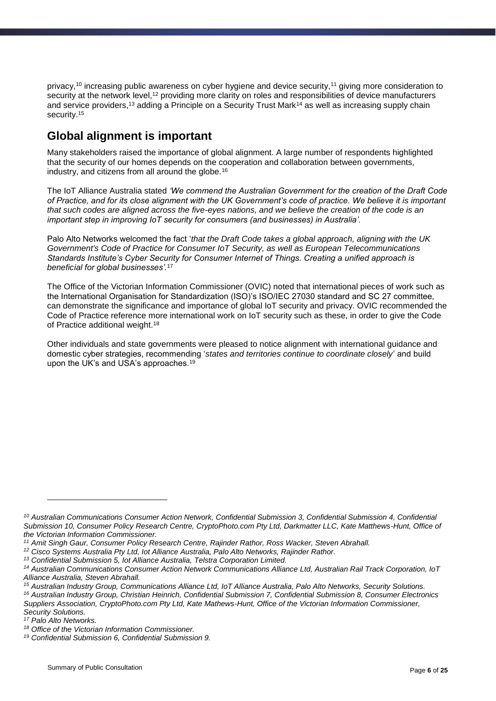privacy,<sup>10</sup> increasing public awareness on cyber hygiene and device security,<sup>11</sup> giving more consideration to security at the network level,<sup>12</sup> providing more clarity on roles and responsibilities of device manufacturers and service providers,<sup>13</sup> adding a Principle on a Security Trust Mark<sup>14</sup> as well as increasing supply chain security.<sup>15</sup>

### <span id="page-5-0"></span>**Global alignment is important**

Many stakeholders raised the importance of global alignment. A large number of respondents highlighted that the security of our homes depends on the cooperation and collaboration between governments, industry, and citizens from all around the globe.<sup>16</sup>

The IoT Alliance Australia stated *'We commend the Australian Government for the creation of the Draft Code of Practice, and for its close alignment with the UK Government's code of practice. We believe it is important that such codes are aligned across the five-eyes nations, and we believe the creation of the code is an important step in improving IoT security for consumers (and businesses) in Australia'.*

Palo Alto Networks welcomed the fact '*that the Draft Code takes a global approach, aligning with the UK Government's Code of Practice for Consumer IoT Security, as well as European Telecommunications Standards Institute's Cyber Security for Consumer Internet of Things. Creating a unified approach is beneficial for global businesses'.*<sup>17</sup>

The Office of the Victorian Information Commissioner (OVIC) noted that international pieces of work such as the International Organisation for Standardization (ISO)'s ISO/IEC 27030 standard and SC 27 committee, can demonstrate the significance and importance of global IoT security and privacy. OVIC recommended the Code of Practice reference more international work on IoT security such as these, in order to give the Code of Practice additional weight.<sup>18</sup>

Other individuals and state governments were pleased to notice alignment with international guidance and domestic cyber strategies, recommending '*states and territories continue to coordinate closely*' and build upon the UK's and USA's approaches.<sup>19</sup>

1

*<sup>10</sup> Australian Communications Consumer Action Network, Confidential Submission 3, Confidential Submission 4, Confidential Submission 10, Consumer Policy Research Centre, CryptoPhoto.com Pty Ltd, Darkmatter LLC, Kate Matthews-Hunt, Office of the Victorian Information Commissioner.*

*<sup>11</sup> Amit Singh Gaur, Consumer Policy Research Centre, Rajinder Rathor, Ross Wacker, Steven Abrahall.*

*<sup>12</sup> Cisco Systems Australia Pty Ltd, Iot Alliance Australia, Palo Alto Networks, Rajinder Rathor.*

*<sup>13</sup> Confidential Submission 5, Iot Alliance Australia, Telstra Corporation Limited.*

*<sup>14</sup> Australian Communications Consumer Action Network Communications Alliance Ltd, Australian Rail Track Corporation, IoT Alliance Australia, Steven Abrahall.*

*<sup>15</sup> Australian Industry Group, Communications Alliance Ltd, IoT Alliance Australia, Palo Alto Networks, Security Solutions.*

*<sup>16</sup> Australian Industry Group, Christian Heinrich, Confidential Submission 7, Confidential Submission 8, Consumer Electronics Suppliers Association, CryptoPhoto.com Pty Ltd, Kate Mathews-Hunt, Office of the Victorian Information Commissioner,* 

*Security Solutions.*

*<sup>17</sup> Palo Alto Networks.*

*<sup>18</sup> Office of the Victorian Information Commissioner.*

*<sup>19</sup> Confidential Submission 6, Confidential Submission 9.*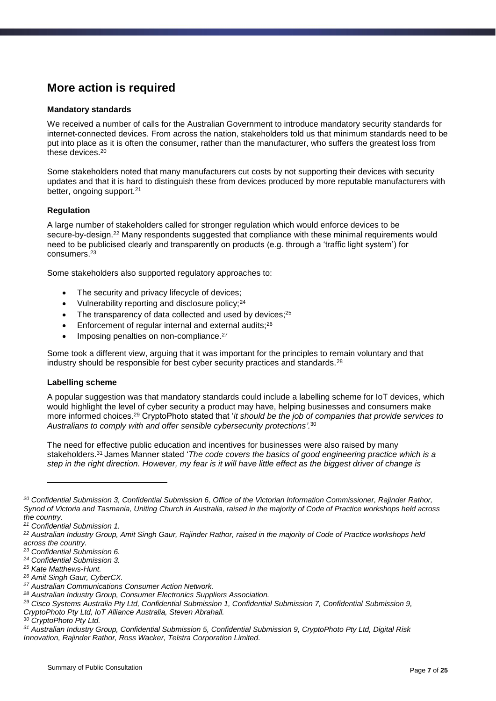### <span id="page-6-0"></span>**More action is required**

#### **Mandatory standards**

We received a number of calls for the Australian Government to introduce mandatory security standards for internet-connected devices. From across the nation, stakeholders told us that minimum standards need to be put into place as it is often the consumer, rather than the manufacturer, who suffers the greatest loss from these devices. 20

Some stakeholders noted that many manufacturers cut costs by not supporting their devices with security updates and that it is hard to distinguish these from devices produced by more reputable manufacturers with better, ongoing support.<sup>21</sup>

#### **Regulation**

A large number of stakeholders called for stronger regulation which would enforce devices to be secure-by-design.<sup>22</sup> Many respondents suggested that compliance with these minimal requirements would need to be publicised clearly and transparently on products (e.g. through a 'traffic light system') for consumers.<sup>23</sup>

Some stakeholders also supported regulatory approaches to:

- The security and privacy lifecycle of devices;
- Vulnerability reporting and disclosure policy;<sup>24</sup>
- $\bullet$  The transparency of data collected and used by devices;<sup>25</sup>
- Enforcement of regular internal and external audits;<sup>26</sup>
- Imposing penalties on non-compliance.<sup>27</sup>

Some took a different view, arguing that it was important for the principles to remain voluntary and that industry should be responsible for best cyber security practices and standards.<sup>28</sup>

#### **Labelling scheme**

A popular suggestion was that mandatory standards could include a labelling scheme for IoT devices, which would highlight the level of cyber security a product may have, helping businesses and consumers make more informed choices. <sup>29</sup> CryptoPhoto stated that '*it should be the job of companies that provide services to Australians to comply with and offer sensible cybersecurity protections'.*<sup>30</sup>

The need for effective public education and incentives for businesses were also raised by many stakeholders.<sup>31</sup> James Manner stated '*The code covers the basics of good engineering practice which is a step in the right direction. However, my fear is it will have little effect as the biggest driver of change is* 

1

*<sup>20</sup> Confidential Submission 3, Confidential Submission 6, Office of the Victorian Information Commissioner, Rajinder Rathor, Synod of Victoria and Tasmania, Uniting Church in Australia, raised in the majority of Code of Practice workshops held across the country.*

*<sup>21</sup> Confidential Submission 1.*

*<sup>22</sup> Australian Industry Group, Amit Singh Gaur, Rajinder Rathor, raised in the majority of Code of Practice workshops held across the country.*

*<sup>23</sup> Confidential Submission 6.*

*<sup>24</sup> Confidential Submission 3.*

*<sup>25</sup> Kate Matthews-Hunt.*

*<sup>26</sup> Amit Singh Gaur, CyberCX.*

*<sup>27</sup> Australian Communications Consumer Action Network.*

*<sup>28</sup> Australian Industry Group, Consumer Electronics Suppliers Association.*

*<sup>29</sup> Cisco Systems Australia Pty Ltd, Confidential Submission 1, Confidential Submission 7, Confidential Submission 9, CryptoPhoto Pty Ltd, IoT Alliance Australia, Steven Abrahall.*

*<sup>30</sup> CryptoPhoto Pty Ltd.* 

*<sup>31</sup> Australian Industry Group, Confidential Submission 5, Confidential Submission 9, CryptoPhoto Pty Ltd, Digital Risk Innovation, Rajinder Rathor, Ross Wacker, Telstra Corporation Limited.*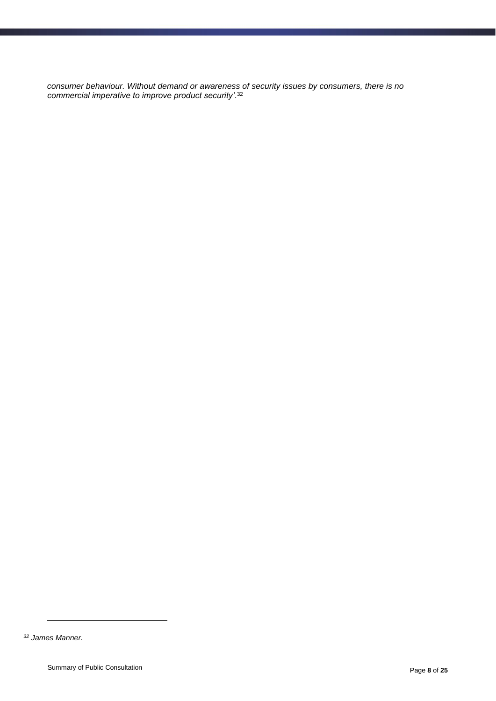*consumer behaviour. Without demand or awareness of security issues by consumers, there is no commercial imperative to improve product security'*. 32

1

*<sup>32</sup> James Manner.*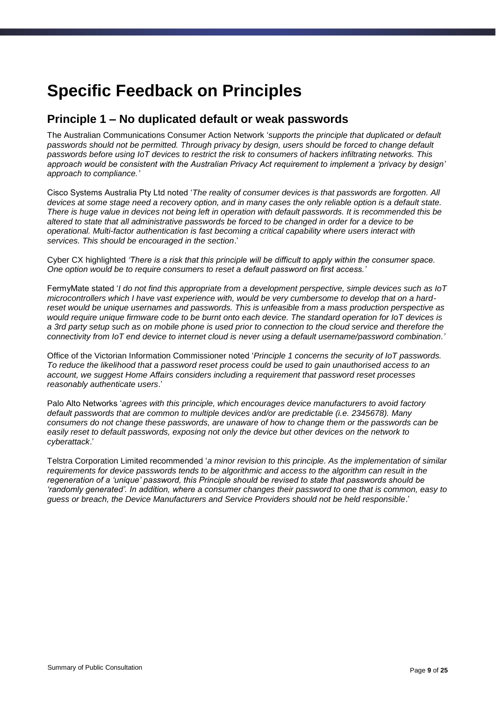## <span id="page-8-0"></span>**Specific Feedback on Principles**

#### <span id="page-8-1"></span>**Principle 1 – No duplicated default or weak passwords**

The Australian Communications Consumer Action Network '*supports the principle that duplicated or default passwords should not be permitted. Through privacy by design, users should be forced to change default passwords before using IoT devices to restrict the risk to consumers of hackers infiltrating networks. This approach would be consistent with the Australian Privacy Act requirement to implement a 'privacy by design' approach to compliance.'*

Cisco Systems Australia Pty Ltd noted '*The reality of consumer devices is that passwords are forgotten. All devices at some stage need a recovery option, and in many cases the only reliable option is a default state. There is huge value in devices not being left in operation with default passwords. It is recommended this be altered to state that all administrative passwords be forced to be changed in order for a device to be operational. Multi-factor authentication is fast becoming a critical capability where users interact with services. This should be encouraged in the section*.'

Cyber CX highlighted *'There is a risk that this principle will be difficult to apply within the consumer space. One option would be to require consumers to reset a default password on first access.'*

FermyMate stated '*I do not find this appropriate from a development perspective, simple devices such as IoT microcontrollers which I have vast experience with, would be very cumbersome to develop that on a hardreset would be unique usernames and passwords. This is unfeasible from a mass production perspective as would require unique firmware code to be burnt onto each device. The standard operation for IoT devices is a 3rd party setup such as on mobile phone is used prior to connection to the cloud service and therefore the connectivity from IoT end device to internet cloud is never using a default username/password combination*.*'*

Office of the Victorian Information Commissioner noted '*Principle 1 concerns the security of IoT passwords. To reduce the likelihood that a password reset process could be used to gain unauthorised access to an account, we suggest Home Affairs considers including a requirement that password reset processes reasonably authenticate users*.'

Palo Alto Networks '*agrees with this principle, which encourages device manufacturers to avoid factory default passwords that are common to multiple devices and/or are predictable (i.e. 2345678). Many consumers do not change these passwords, are unaware of how to change them or the passwords can be easily reset to default passwords, exposing not only the device but other devices on the network to cyberattack*.'

Telstra Corporation Limited recommended '*a minor revision to this principle. As the implementation of similar requirements for device passwords tends to be algorithmic and access to the algorithm can result in the regeneration of a 'unique' password, this Principle should be revised to state that passwords should be 'randomly generated'. In addition, where a consumer changes their password to one that is common, easy to guess or breach, the Device Manufacturers and Service Providers should not be held responsible*.'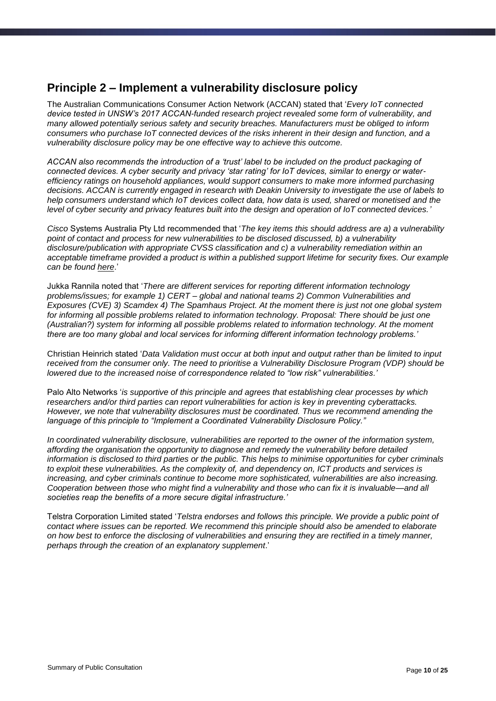#### <span id="page-9-0"></span>**Principle 2 – Implement a vulnerability disclosure policy**

The Australian Communications Consumer Action Network (ACCAN) stated that '*Every IoT connected device tested in UNSW's 2017 ACCAN-funded research project revealed some form of vulnerability, and many allowed potentially serious safety and security breaches. Manufacturers must be obliged to inform consumers who purchase IoT connected devices of the risks inherent in their design and function, and a vulnerability disclosure policy may be one effective way to achieve this outcome.*

*ACCAN also recommends the introduction of a 'trust' label to be included on the product packaging of connected devices. A cyber security and privacy 'star rating' for IoT devices, similar to energy or waterefficiency ratings on household appliances, would support consumers to make more informed purchasing decisions. ACCAN is currently engaged in research with Deakin University to investigate the use of labels to help consumers understand which IoT devices collect data, how data is used, shared or monetised and the level of cyber security and privacy features built into the design and operation of IoT connected devices.'*

*Cisco* Systems Australia Pty Ltd recommended that '*The key items this should address are a) a vulnerability point of contact and process for new vulnerabilities to be disclosed discussed, b) a vulnerability disclosure/publication with appropriate CVSS classification and c) a vulnerability remediation within an acceptable timeframe provided a product is within a published support lifetime for security fixes. Our example can be found [here](https://tools.cisco.com/security/center/resources/security_vulnerability_policy.html)*.'

Jukka Rannila noted that '*There are different services for reporting different information technology problems/issues; for example 1) CERT – global and national teams 2) Common Vulnerabilities and Exposures (CVE) 3) Scamdex 4) The Spamhaus Project. At the moment there is just not one global system for informing all possible problems related to information technology. Proposal: There should be just one (Australian?) system for informing all possible problems related to information technology. At the moment there are too many global and local services for informing different information technology problems.'*

Christian Heinrich stated '*Data Validation must occur at both input and output rather than be limited to input received from the consumer only. The need to prioritise a Vulnerability Disclosure Program (VDP) should be lowered due to the increased noise of correspondence related to "low risk" vulnerabilities.'*

Palo Alto Networks '*is supportive of this principle and agrees that establishing clear processes by which researchers and/or third parties can report vulnerabilities for action is key in preventing cyberattacks. However, we note that vulnerability disclosures must be coordinated. Thus we recommend amending the language of this principle to "Implement a Coordinated Vulnerability Disclosure Policy."*

*In coordinated vulnerability disclosure, vulnerabilities are reported to the owner of the information system, affording the organisation the opportunity to diagnose and remedy the vulnerability before detailed information is disclosed to third parties or the public. This helps to minimise opportunities for cyber criminals to exploit these vulnerabilities. As the complexity of, and dependency on, ICT products and services is increasing, and cyber criminals continue to become more sophisticated, vulnerabilities are also increasing. Cooperation between those who might find a vulnerability and those who can fix it is invaluable—and all societies reap the benefits of a more secure digital infrastructure.'*

Telstra Corporation Limited stated '*Telstra endorses and follows this principle. We provide a public point of contact where issues can be reported. We recommend this principle should also be amended to elaborate on how best to enforce the disclosing of vulnerabilities and ensuring they are rectified in a timely manner, perhaps through the creation of an explanatory supplement*.'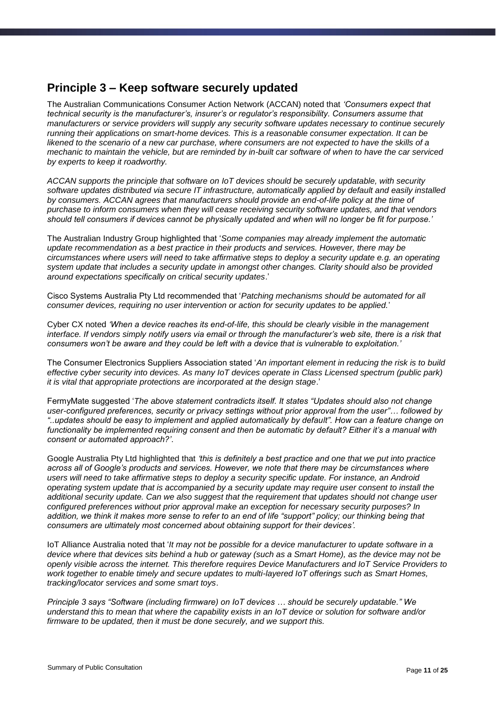#### <span id="page-10-0"></span>**Principle 3 – Keep software securely updated**

The Australian Communications Consumer Action Network (ACCAN) noted that *'Consumers expect that technical security is the manufacturer's, insurer's or regulator's responsibility. Consumers assume that manufacturers or service providers will supply any security software updates necessary to continue securely running their applications on smart-home devices. This is a reasonable consumer expectation. It can be likened to the scenario of a new car purchase, where consumers are not expected to have the skills of a mechanic to maintain the vehicle, but are reminded by in-built car software of when to have the car serviced by experts to keep it roadworthy.*

*ACCAN supports the principle that software on IoT devices should be securely updatable, with security software updates distributed via secure IT infrastructure, automatically applied by default and easily installed by consumers. ACCAN agrees that manufacturers should provide an end-of-life policy at the time of purchase to inform consumers when they will cease receiving security software updates, and that vendors should tell consumers if devices cannot be physically updated and when will no longer be fit for purpose.'*

The Australian Industry Group highlighted that '*Some companies may already implement the automatic update recommendation as a best practice in their products and services. However, there may be circumstances where users will need to take affirmative steps to deploy a security update e.g. an operating system update that includes a security update in amongst other changes. Clarity should also be provided around expectations specifically on critical security updates*.'

Cisco Systems Australia Pty Ltd recommended that '*Patching mechanisms should be automated for all consumer devices, requiring no user intervention or action for security updates to be applied.*'

Cyber CX noted *'When a device reaches its end-of-life, this should be clearly visible in the management interface. If vendors simply notify users via email or through the manufacturer's web site, there is a risk that consumers won't be aware and they could be left with a device that is vulnerable to exploitation.'*

The Consumer Electronics Suppliers Association stated '*An important element in reducing the risk is to build effective cyber security into devices. As many IoT devices operate in Class Licensed spectrum (public park) it is vital that appropriate protections are incorporated at the design stage*.'

FermyMate suggested '*The above statement contradicts itself. It states "Updates should also not change user-configured preferences, security or privacy settings without prior approval from the user"… followed by "..updates should be easy to implement and applied automatically by default". How can a feature change on functionality be implemented requiring consent and then be automatic by default? Either it's a manual with consent or automated approach?'*.

Google Australia Pty Ltd highlighted that *'this is definitely a best practice and one that we put into practice across all of Google's products and services. However, we note that there may be circumstances where users will need to take affirmative steps to deploy a security specific update. For instance, an Android operating system update that is accompanied by a security update may require user consent to install the additional security update. Can we also suggest that the requirement that updates should not change user configured preferences without prior approval make an exception for necessary security purposes? In*  addition, we think it makes more sense to refer to an end of life "support" policy; our thinking being that *consumers are ultimately most concerned about obtaining support for their devices'.*

IoT Alliance Australia noted that '*It may not be possible for a device manufacturer to update software in a device where that devices sits behind a hub or gateway (such as a Smart Home), as the device may not be openly visible across the internet. This therefore requires Device Manufacturers and IoT Service Providers to work together to enable timely and secure updates to multi-layered IoT offerings such as Smart Homes, tracking/locator services and some smart toys*.

*Principle 3 says "Software (including firmware) on IoT devices … should be securely updatable." We understand this to mean that where the capability exists in an IoT device or solution for software and/or firmware to be updated, then it must be done securely, and we support this.*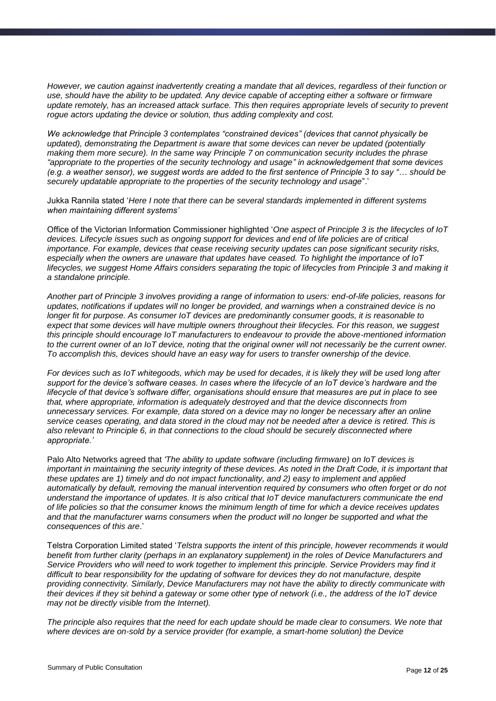*However, we caution against inadvertently creating a mandate that all devices, regardless of their function or use, should have the ability to be updated. Any device capable of accepting either a software or firmware update remotely, has an increased attack surface. This then requires appropriate levels of security to prevent rogue actors updating the device or solution, thus adding complexity and cost.*

*We acknowledge that Principle 3 contemplates "constrained devices" (devices that cannot physically be updated), demonstrating the Department is aware that some devices can never be updated (potentially making them more secure). In the same way Principle 7 on communication security includes the phrase "appropriate to the properties of the security technology and usage" in acknowledgement that some devices (e.g. a weather sensor), we suggest words are added to the first sentence of Principle 3 to say "… should be securely updatable appropriate to the properties of the security technology and usage*".'

Jukka Rannila stated '*Here I note that there can be several standards implemented in different systems when maintaining different systems'*

Office of the Victorian Information Commissioner highlighted '*One aspect of Principle 3 is the lifecycles of IoT devices. Lifecycle issues such as ongoing support for devices and end of life policies are of critical importance. For example, devices that cease receiving security updates can pose significant security risks, especially when the owners are unaware that updates have ceased. To highlight the importance of IoT lifecycles, we suggest Home Affairs considers separating the topic of lifecycles from Principle 3 and making it a standalone principle.* 

*Another part of Principle 3 involves providing a range of information to users: end-of-life policies, reasons for updates, notifications if updates will no longer be provided, and warnings when a constrained device is no longer fit for purpose. As consumer IoT devices are predominantly consumer goods, it is reasonable to expect that some devices will have multiple owners throughout their lifecycles. For this reason, we suggest this principle should encourage IoT manufacturers to endeavour to provide the above-mentioned information to the current owner of an IoT device, noting that the original owner will not necessarily be the current owner. To accomplish this, devices should have an easy way for users to transfer ownership of the device.* 

*For devices such as IoT whitegoods, which may be used for decades, it is likely they will be used long after support for the device's software ceases. In cases where the lifecycle of an IoT device's hardware and the lifecycle of that device's software differ, organisations should ensure that measures are put in place to see that, where appropriate, information is adequately destroyed and that the device disconnects from unnecessary services. For example, data stored on a device may no longer be necessary after an online service ceases operating, and data stored in the cloud may not be needed after a device is retired. This is also relevant to Principle 6, in that connections to the cloud should be securely disconnected where appropriate.'*

Palo Alto Networks agreed that *'The ability to update software (including firmware) on IoT devices is important in maintaining the security integrity of these devices. As noted in the Draft Code, it is important that these updates are 1) timely and do not impact functionality, and 2) easy to implement and applied automatically by default, removing the manual intervention required by consumers who often forget or do not understand the importance of updates. It is also critical that IoT device manufacturers communicate the end of life policies so that the consumer knows the minimum length of time for which a device receives updates and that the manufacturer warns consumers when the product will no longer be supported and what the consequences of this are*.'

Telstra Corporation Limited stated '*Telstra supports the intent of this principle, however recommends it would benefit from further clarity (perhaps in an explanatory supplement) in the roles of Device Manufacturers and Service Providers who will need to work together to implement this principle. Service Providers may find it difficult to bear responsibility for the updating of software for devices they do not manufacture, despite providing connectivity. Similarly, Device Manufacturers may not have the ability to directly communicate with their devices if they sit behind a gateway or some other type of network (i.e., the address of the IoT device may not be directly visible from the Internet).* 

*The principle also requires that the need for each update should be made clear to consumers. We note that where devices are on-sold by a service provider (for example, a smart-home solution) the Device*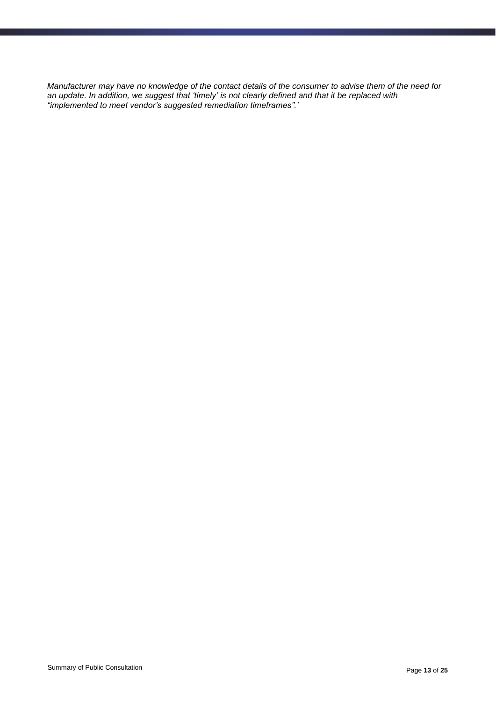*Manufacturer may have no knowledge of the contact details of the consumer to advise them of the need for an update. In addition, we suggest that 'timely' is not clearly defined and that it be replaced with "implemented to meet vendor's suggested remediation timeframes".'*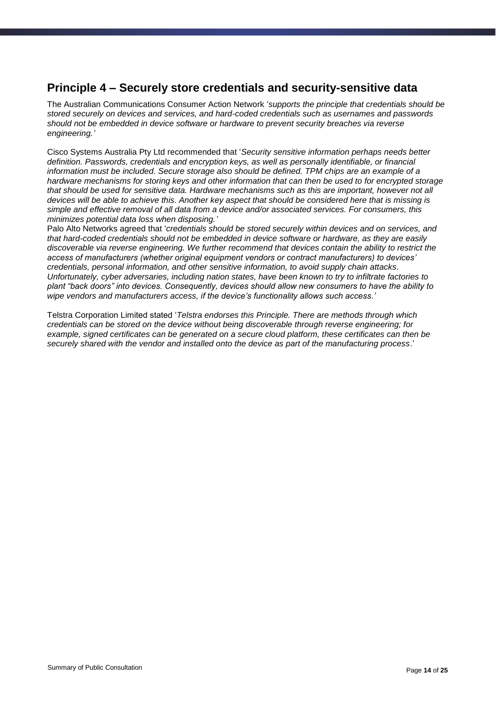#### <span id="page-13-0"></span>**Principle 4 – Securely store credentials and security-sensitive data**

The Australian Communications Consumer Action Network '*supports the principle that credentials should be stored securely on devices and services, and hard-coded credentials such as usernames and passwords should not be embedded in device software or hardware to prevent security breaches via reverse engineering.'*

Cisco Systems Australia Pty Ltd recommended that '*Security sensitive information perhaps needs better definition. Passwords, credentials and encryption keys, as well as personally identifiable, or financial information must be included. Secure storage also should be defined. TPM chips are an example of a hardware mechanisms for storing keys and other information that can then be used to for encrypted storage that should be used for sensitive data. Hardware mechanisms such as this are important, however not all devices will be able to achieve this. Another key aspect that should be considered here that is missing is simple and effective removal of all data from a device and/or associated services. For consumers, this minimizes potential data loss when disposing.'*

Palo Alto Networks agreed that '*credentials should be stored securely within devices and on services, and that hard-coded credentials should not be embedded in device software or hardware, as they are easily discoverable via reverse engineering. We further recommend that devices contain the ability to restrict the access of manufacturers (whether original equipment vendors or contract manufacturers) to devices' credentials, personal information, and other sensitive information, to avoid supply chain attacks. Unfortunately, cyber adversaries, including nation states, have been known to try to infiltrate factories to plant "back doors" into devices. Consequently, devices should allow new consumers to have the ability to wipe vendors and manufacturers access, if the device's functionality allows such access.'*

Telstra Corporation Limited stated '*Telstra endorses this Principle. There are methods through which credentials can be stored on the device without being discoverable through reverse engineering; for example, signed certificates can be generated on a secure cloud platform, these certificates can then be securely shared with the vendor and installed onto the device as part of the manufacturing process*.'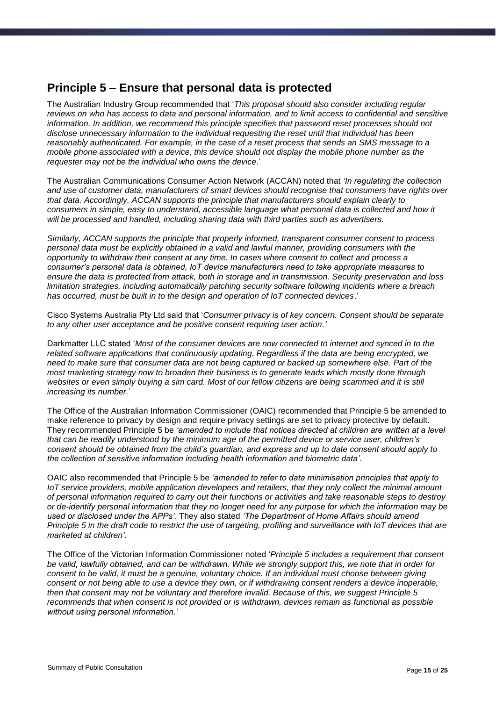#### <span id="page-14-0"></span>**Principle 5 – Ensure that personal data is protected**

The Australian Industry Group recommended that '*This proposal should also consider including regular reviews on who has access to data and personal information, and to limit access to confidential and sensitive information. In addition, we recommend this principle specifies that password reset processes should not disclose unnecessary information to the individual requesting the reset until that individual has been reasonably authenticated. For example, in the case of a reset process that sends an SMS message to a mobile phone associated with a device, this device should not display the mobile phone number as the requester may not be the individual who owns the device*.'

The Australian Communications Consumer Action Network (ACCAN) noted that *'In regulating the collection and use of customer data, manufacturers of smart devices should recognise that consumers have rights over that data. Accordingly, ACCAN supports the principle that manufacturers should explain clearly to consumers in simple, easy to understand, accessible language what personal data is collected and how it will be processed and handled, including sharing data with third parties such as advertisers.*

*Similarly, ACCAN supports the principle that properly informed, transparent consumer consent to process personal data must be explicitly obtained in a valid and lawful manner, providing consumers with the opportunity to withdraw their consent at any time. In cases where consent to collect and process a consumer's personal data is obtained, IoT device manufacturers need to take appropriate measures to ensure the data is protected from attack, both in storage and in transmission. Security preservation and loss limitation strategies, including automatically patching security software following incidents where a breach has occurred, must be built in to the design and operation of IoT connected devices*.'

Cisco Systems Australia Pty Ltd said that '*Consumer privacy is of key concern. Consent should be separate to any other user acceptance and be positive consent requiring user action.'*

Darkmatter LLC stated '*Most of the consumer devices are now connected to internet and synced in to the related software applications that continuously updating. Regardless if the data are being encrypted, we need to make sure that consumer data are not being captured or backed up somewhere else. Part of the most marketing strategy now to broaden their business is to generate leads which mostly done through*  websites or even simply buying a sim card. Most of our fellow citizens are being scammed and it is still *increasing its number.*'

The Office of the Australian Information Commissioner (OAIC) recommended that Principle 5 be amended to make reference to privacy by design and require privacy settings are set to privacy protective by default. They recommended Principle 5 be *'amended to include that notices directed at children are written at a level that can be readily understood by the minimum age of the permitted device or service user, children's consent should be obtained from the child's guardian, and express and up to date consent should apply to the collection of sensitive information including health information and biometric data'*.

OAIC also recommended that Principle 5 be *'amended to refer to data minimisation principles that apply to IoT service providers, mobile application developers and retailers, that they only collect the minimal amount of personal information required to carry out their functions or activities and take reasonable steps to destroy or de-identify personal information that they no longer need for any purpose for which the information may be used or disclosed under the APPs'.* They also stated *'The Department of Home Affairs should amend Principle 5 in the draft code to restrict the use of targeting, profiling and surveillance with IoT devices that are marketed at children'.* 

The Office of the Victorian Information Commissioner noted '*Principle 5 includes a requirement that consent be valid, lawfully obtained, and can be withdrawn. While we strongly support this, we note that in order for consent to be valid, it must be a genuine, voluntary choice. If an individual must choose between giving consent or not being able to use a device they own, or if withdrawing consent renders a device inoperable, then that consent may not be voluntary and therefore invalid. Because of this, we suggest Principle 5 recommends that when consent is not provided or is withdrawn, devices remain as functional as possible without using personal information.'*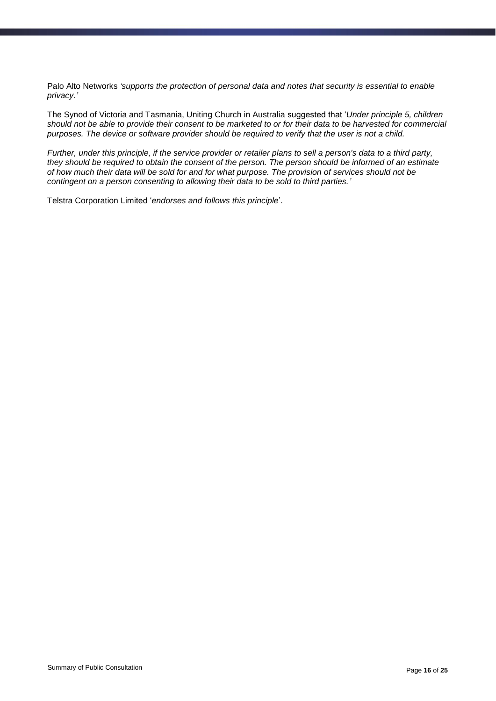Palo Alto Networks *'supports the protection of personal data and notes that security is essential to enable privacy.'*

The Synod of Victoria and Tasmania, Uniting Church in Australia suggested that '*Under principle 5, children should not be able to provide their consent to be marketed to or for their data to be harvested for commercial purposes. The device or software provider should be required to verify that the user is not a child.*

*Further, under this principle, if the service provider or retailer plans to sell a person's data to a third party, they should be required to obtain the consent of the person. The person should be informed of an estimate of how much their data will be sold for and for what purpose. The provision of services should not be contingent on a person consenting to allowing their data to be sold to third parties.'*

Telstra Corporation Limited '*endorses and follows this principle*'.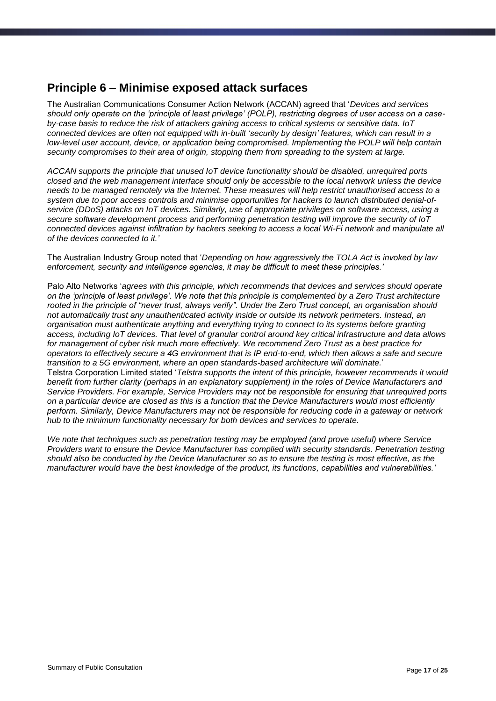#### <span id="page-16-0"></span>**Principle 6 – Minimise exposed attack surfaces**

The Australian Communications Consumer Action Network (ACCAN) agreed that '*Devices and services should only operate on the 'principle of least privilege' (POLP), restricting degrees of user access on a caseby-case basis to reduce the risk of attackers gaining access to critical systems or sensitive data. IoT connected devices are often not equipped with in-built 'security by design' features, which can result in a low-level user account, device, or application being compromised. Implementing the POLP will help contain security compromises to their area of origin, stopping them from spreading to the system at large.*

*ACCAN supports the principle that unused IoT device functionality should be disabled, unrequired ports closed and the web management interface should only be accessible to the local network unless the device needs to be managed remotely via the Internet. These measures will help restrict unauthorised access to a system due to poor access controls and minimise opportunities for hackers to launch distributed denial-ofservice (DDoS) attacks on IoT devices. Similarly, use of appropriate privileges on software access, using a secure software development process and performing penetration testing will improve the security of IoT connected devices against infiltration by hackers seeking to access a local Wi-Fi network and manipulate all of the devices connected to it.'*

The Australian Industry Group noted that '*Depending on how aggressively the TOLA Act is invoked by law enforcement, security and intelligence agencies, it may be difficult to meet these principles.'*

Palo Alto Networks '*agrees with this principle, which recommends that devices and services should operate on the 'principle of least privilege'. We note that this principle is complemented by a Zero Trust architecture rooted in the principle of "never trust, always verify". Under the Zero Trust concept, an organisation should not automatically trust any unauthenticated activity inside or outside its network perimeters. Instead, an organisation must authenticate anything and everything trying to connect to its systems before granting access, including IoT devices. That level of granular control around key critical infrastructure and data allows for management of cyber risk much more effectively. We recommend Zero Trust as a best practice for operators to effectively secure a 4G environment that is IP end-to-end, which then allows a safe and secure transition to a 5G environment, where an open standards-based architecture will dominate.*' Telstra Corporation Limited stated '*Telstra supports the intent of this principle, however recommends it would benefit from further clarity (perhaps in an explanatory supplement) in the roles of Device Manufacturers and Service Providers. For example, Service Providers may not be responsible for ensuring that unrequired ports on a particular device are closed as this is a function that the Device Manufacturers would most efficiently perform. Similarly, Device Manufacturers may not be responsible for reducing code in a gateway or network hub to the minimum functionality necessary for both devices and services to operate.*

*We note that techniques such as penetration testing may be employed (and prove useful) where Service Providers want to ensure the Device Manufacturer has complied with security standards. Penetration testing should also be conducted by the Device Manufacturer so as to ensure the testing is most effective, as the manufacturer would have the best knowledge of the product, its functions, capabilities and vulnerabilities.'*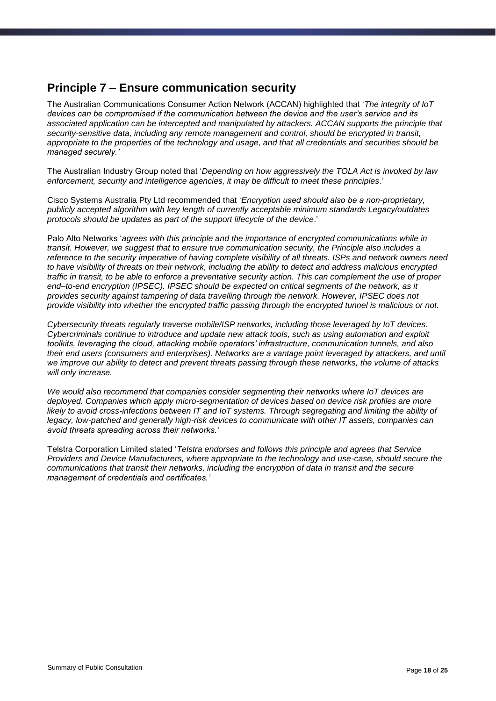### <span id="page-17-0"></span>**Principle 7 – Ensure communication security**

The Australian Communications Consumer Action Network (ACCAN) highlighted that '*The integrity of IoT devices can be compromised if the communication between the device and the user's service and its associated application can be intercepted and manipulated by attackers. ACCAN supports the principle that security-sensitive data, including any remote management and control, should be encrypted in transit, appropriate to the properties of the technology and usage, and that all credentials and securities should be managed securely.'*

The Australian Industry Group noted that '*Depending on how aggressively the TOLA Act is invoked by law enforcement, security and intelligence agencies, it may be difficult to meet these principles*.'

Cisco Systems Australia Pty Ltd recommended that *'Encryption used should also be a non-proprietary, publicly accepted algorithm with key length of currently acceptable minimum standards Legacy/outdates protocols should be updates as part of the support lifecycle of the device*.'

Palo Alto Networks '*agrees with this principle and the importance of encrypted communications while in transit. However, we suggest that to ensure true communication security, the Principle also includes a reference to the security imperative of having complete visibility of all threats. ISPs and network owners need to have visibility of threats on their network, including the ability to detect and address malicious encrypted traffic in transit, to be able to enforce a preventative security action. This can complement the use of proper end–to-end encryption (IPSEC). IPSEC should be expected on critical segments of the network, as it provides security against tampering of data travelling through the network. However, IPSEC does not provide visibility into whether the encrypted traffic passing through the encrypted tunnel is malicious or not.*

*Cybersecurity threats regularly traverse mobile/ISP networks, including those leveraged by IoT devices. Cybercriminals continue to introduce and update new attack tools, such as using automation and exploit toolkits, leveraging the cloud, attacking mobile operators' infrastructure, communication tunnels, and also their end users (consumers and enterprises). Networks are a vantage point leveraged by attackers, and until we improve our ability to detect and prevent threats passing through these networks, the volume of attacks will only increase.*

*We would also recommend that companies consider segmenting their networks where IoT devices are deployed. Companies which apply micro-segmentation of devices based on device risk profiles are more likely to avoid cross-infections between IT and IoT systems. Through segregating and limiting the ability of legacy, low-patched and generally high-risk devices to communicate with other IT assets, companies can avoid threats spreading across their networks.'*

Telstra Corporation Limited stated '*Telstra endorses and follows this principle and agrees that Service Providers and Device Manufacturers, where appropriate to the technology and use-case, should secure the communications that transit their networks, including the encryption of data in transit and the secure management of credentials and certificates.'*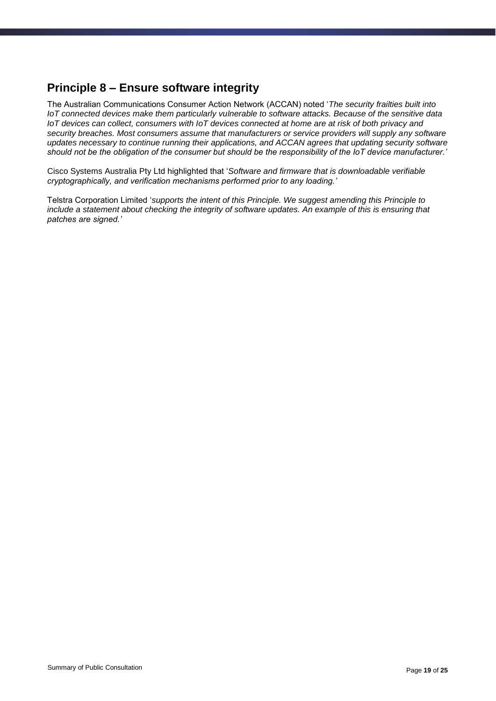### <span id="page-18-0"></span>**Principle 8 – Ensure software integrity**

The Australian Communications Consumer Action Network (ACCAN) noted '*The security frailties built into IoT connected devices make them particularly vulnerable to software attacks. Because of the sensitive data IoT devices can collect, consumers with IoT devices connected at home are at risk of both privacy and security breaches. Most consumers assume that manufacturers or service providers will supply any software updates necessary to continue running their applications, and ACCAN agrees that updating security software should not be the obligation of the consumer but should be the responsibility of the IoT device manufacturer.'*

Cisco Systems Australia Pty Ltd highlighted that '*Software and firmware that is downloadable verifiable cryptographically, and verification mechanisms performed prior to any loading.'*

Telstra Corporation Limited '*supports the intent of this Principle. We suggest amending this Principle to include a statement about checking the integrity of software updates. An example of this is ensuring that patches are signed.'*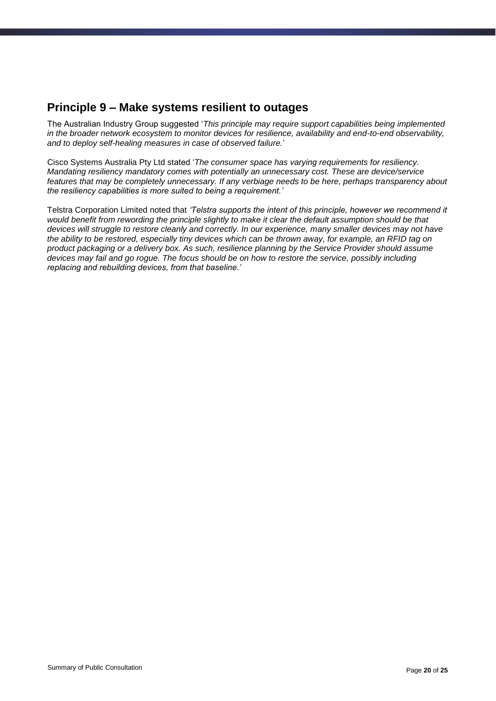#### <span id="page-19-0"></span>**Principle 9 – Make systems resilient to outages**

The Australian Industry Group suggested '*This principle may require support capabilities being implemented in the broader network ecosystem to monitor devices for resilience, availability and end-to-end observability, and to deploy self-healing measures in case of observed failure.*'

Cisco Systems Australia Pty Ltd stated '*The consumer space has varying requirements for resiliency. Mandating resiliency mandatory comes with potentially an unnecessary cost. These are device/service features that may be completely unnecessary. If any verbiage needs to be here, perhaps transparency about the resiliency capabilities is more suited to being a requirement.'*

Telstra Corporation Limited noted that *'Telstra supports the intent of this principle, however we recommend it would benefit from rewording the principle slightly to make it clear the default assumption should be that devices will struggle to restore cleanly and correctly. In our experience, many smaller devices may not have the ability to be restored, especially tiny devices which can be thrown away, for example, an RFID tag on product packaging or a delivery box. As such, resilience planning by the Service Provider should assume devices may fail and go rogue. The focus should be on how to restore the service, possibly including replacing and rebuilding devices, from that baseline.'*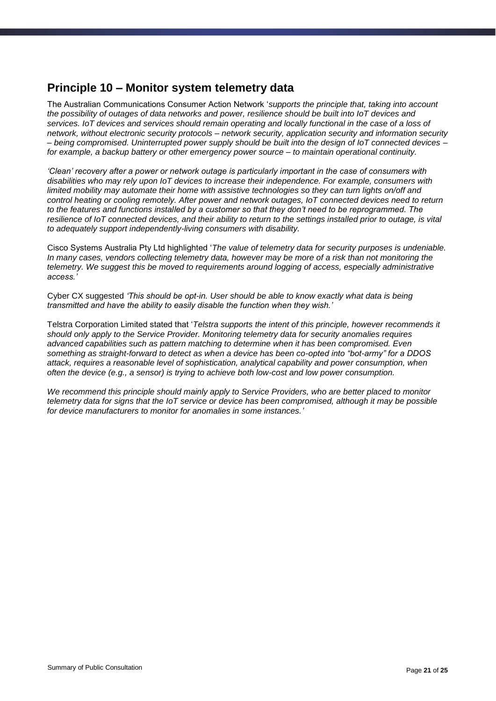#### <span id="page-20-0"></span>**Principle 10 – Monitor system telemetry data**

The Australian Communications Consumer Action Network '*supports the principle that, taking into account the possibility of outages of data networks and power, resilience should be built into IoT devices and services. IoT devices and services should remain operating and locally functional in the case of a loss of network, without electronic security protocols – network security, application security and information security – being compromised. Uninterrupted power supply should be built into the design of IoT connected devices – for example, a backup battery or other emergency power source – to maintain operational continuity.*

*'Clean' recovery after a power or network outage is particularly important in the case of consumers with disabilities who may rely upon IoT devices to increase their independence. For example, consumers with limited mobility may automate their home with assistive technologies so they can turn lights on/off and control heating or cooling remotely. After power and network outages, IoT connected devices need to return to the features and functions installed by a customer so that they don't need to be reprogrammed. The resilience of IoT connected devices, and their ability to return to the settings installed prior to outage, is vital to adequately support independently-living consumers with disability.*

Cisco Systems Australia Pty Ltd highlighted '*The value of telemetry data for security purposes is undeniable. In many cases, vendors collecting telemetry data, however may be more of a risk than not monitoring the telemetry. We suggest this be moved to requirements around logging of access, especially administrative access.'*

Cyber CX suggested *'This should be opt-in. User should be able to know exactly what data is being transmitted and have the ability to easily disable the function when they wish.'*

Telstra Corporation Limited stated that '*Telstra supports the intent of this principle, however recommends it should only apply to the Service Provider. Monitoring telemetry data for security anomalies requires advanced capabilities such as pattern matching to determine when it has been compromised. Even something as straight-forward to detect as when a device has been co-opted into "bot-army" for a DDOS attack, requires a reasonable level of sophistication, analytical capability and power consumption, when often the device (e.g., a sensor) is trying to achieve both low-cost and low power consumption.* 

*We recommend this principle should mainly apply to Service Providers, who are better placed to monitor telemetry data for signs that the IoT service or device has been compromised, although it may be possible for device manufacturers to monitor for anomalies in some instances.'*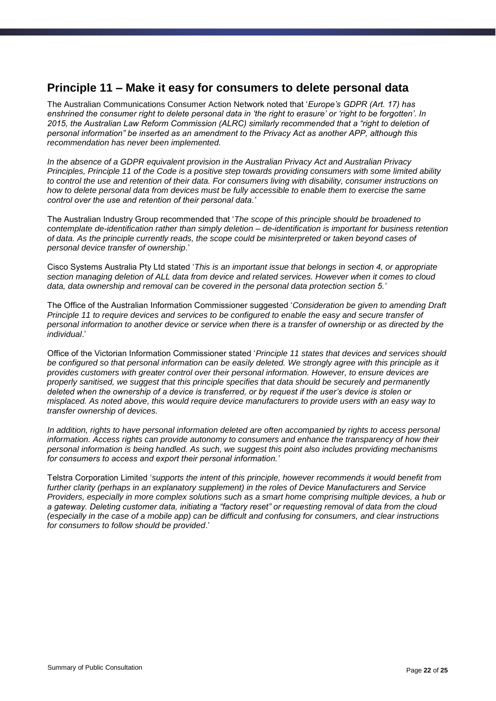#### <span id="page-21-0"></span>**Principle 11 – Make it easy for consumers to delete personal data**

The Australian Communications Consumer Action Network noted that '*Europe's GDPR (Art. 17) has enshrined the consumer right to delete personal data in 'the right to erasure' or 'right to be forgotten'. In 2015, the Australian Law Reform Commission (ALRC) similarly recommended that a "right to deletion of personal information" be inserted as an amendment to the Privacy Act as another APP, although this recommendation has never been implemented.* 

*In the absence of a GDPR equivalent provision in the Australian Privacy Act and Australian Privacy Principles, Principle 11 of the Code is a positive step towards providing consumers with some limited ability to control the use and retention of their data. For consumers living with disability, consumer instructions on how to delete personal data from devices must be fully accessible to enable them to exercise the same control over the use and retention of their personal data.'*

The Australian Industry Group recommended that '*The scope of this principle should be broadened to contemplate de-identification rather than simply deletion – de-identification is important for business retention of data. As the principle currently reads, the scope could be misinterpreted or taken beyond cases of personal device transfer of ownership*.'

Cisco Systems Australia Pty Ltd stated '*This is an important issue that belongs in section 4, or appropriate section managing deletion of ALL data from device and related services. However when it comes to cloud data, data ownership and removal can be covered in the personal data protection section 5.'*

The Office of the Australian Information Commissioner suggested '*Consideration be given to amending Draft Principle 11 to require devices and services to be configured to enable the easy and secure transfer of personal information to another device or service when there is a transfer of ownership or as directed by the individual*.'

Office of the Victorian Information Commissioner stated '*Principle 11 states that devices and services should be configured so that personal information can be easily deleted. We strongly agree with this principle as it provides customers with greater control over their personal information. However, to ensure devices are properly sanitised, we suggest that this principle specifies that data should be securely and permanently deleted when the ownership of a device is transferred, or by request if the user's device is stolen or misplaced. As noted above, this would require device manufacturers to provide users with an easy way to transfer ownership of devices.* 

*In addition, rights to have personal information deleted are often accompanied by rights to access personal information. Access rights can provide autonomy to consumers and enhance the transparency of how their personal information is being handled. As such, we suggest this point also includes providing mechanisms for consumers to access and export their personal information.'* 

Telstra Corporation Limited '*supports the intent of this principle, however recommends it would benefit from further clarity (perhaps in an explanatory supplement) in the roles of Device Manufacturers and Service Providers, especially in more complex solutions such as a smart home comprising multiple devices, a hub or a gateway. Deleting customer data, initiating a "factory reset" or requesting removal of data from the cloud (especially in the case of a mobile app) can be difficult and confusing for consumers, and clear instructions for consumers to follow should be provided*.'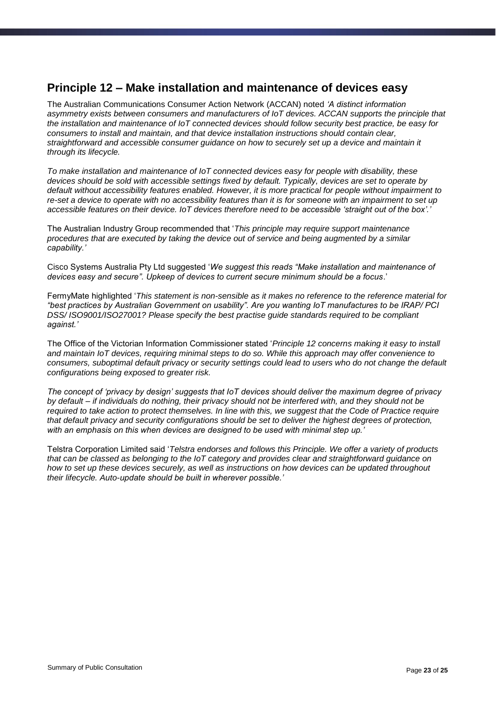#### <span id="page-22-0"></span>**Principle 12 – Make installation and maintenance of devices easy**

The Australian Communications Consumer Action Network (ACCAN) noted *'A distinct information asymmetry exists between consumers and manufacturers of IoT devices. ACCAN supports the principle that the installation and maintenance of IoT connected devices should follow security best practice, be easy for consumers to install and maintain, and that device installation instructions should contain clear, straightforward and accessible consumer guidance on how to securely set up a device and maintain it through its lifecycle.*

*To make installation and maintenance of IoT connected devices easy for people with disability, these devices should be sold with accessible settings fixed by default. Typically, devices are set to operate by default without accessibility features enabled. However, it is more practical for people without impairment to re-set a device to operate with no accessibility features than it is for someone with an impairment to set up accessible features on their device. IoT devices therefore need to be accessible 'straight out of the box'.'*

The Australian Industry Group recommended that '*This principle may require support maintenance procedures that are executed by taking the device out of service and being augmented by a similar capability.'*

Cisco Systems Australia Pty Ltd suggested '*We suggest this reads "Make installation and maintenance of devices easy and secure". Upkeep of devices to current secure minimum should be a focus*.'

FermyMate highlighted '*This statement is non-sensible as it makes no reference to the reference material for "best practices by Australian Government on usability". Are you wanting IoT manufactures to be IRAP/ PCI DSS/ ISO9001/ISO27001? Please specify the best practise guide standards required to be compliant against.'*

The Office of the Victorian Information Commissioner stated '*Principle 12 concerns making it easy to install and maintain IoT devices, requiring minimal steps to do so. While this approach may offer convenience to consumers, suboptimal default privacy or security settings could lead to users who do not change the default configurations being exposed to greater risk.* 

*The concept of 'privacy by design' suggests that IoT devices should deliver the maximum degree of privacy by default – if individuals do nothing, their privacy should not be interfered with, and they should not be required to take action to protect themselves. In line with this, we suggest that the Code of Practice require that default privacy and security configurations should be set to deliver the highest degrees of protection, with an emphasis on this when devices are designed to be used with minimal step up.'* 

Telstra Corporation Limited said '*Telstra endorses and follows this Principle. We offer a variety of products that can be classed as belonging to the IoT category and provides clear and straightforward guidance on how to set up these devices securely, as well as instructions on how devices can be updated throughout their lifecycle. Auto-update should be built in wherever possible.'*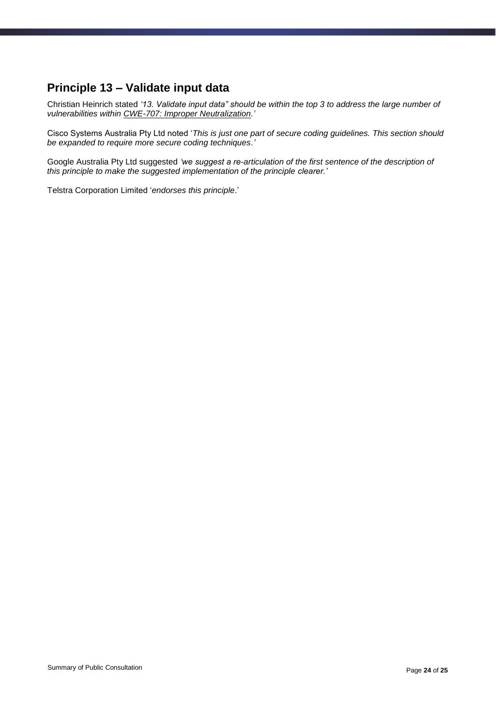### <span id="page-23-0"></span>**Principle 13 – Validate input data**

Christian Heinrich stated *'13. Validate input data" should be within the top 3 to address the large number of vulnerabilities within [CWE-707: Improper Neutralization.](https://cwe.mitre.org/data/definitions/707.html)'*

Cisco Systems Australia Pty Ltd noted '*This is just one part of secure coding guidelines. This section should be expanded to require more secure coding techniques.'*

Google Australia Pty Ltd suggested *'we suggest a re-articulation of the first sentence of the description of this principle to make the suggested implementation of the principle clearer.'*

Telstra Corporation Limited '*endorses this principle*.'